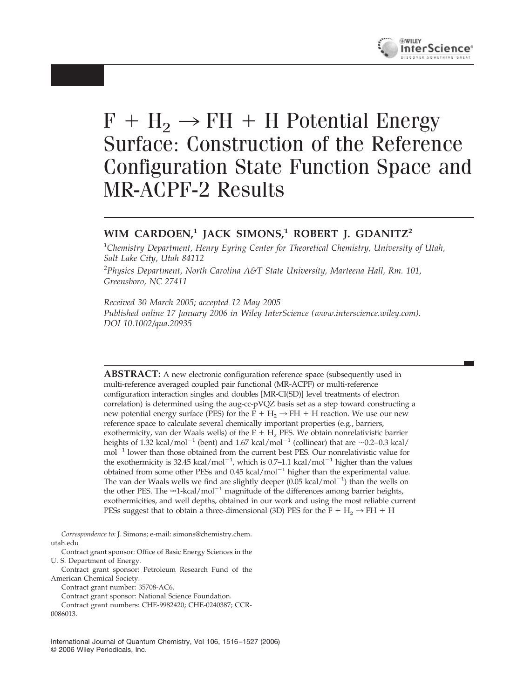

# $F + H_2 \rightarrow FH + H$  Potential Energy Surface: Construction of the Reference Configuration State Function Space and MR-ACPF-2 Results

# **WIM CARDOEN,<sup>1</sup> JACK SIMONS,<sup>1</sup> ROBERT J. GDANITZ<sup>2</sup>**

*1 Chemistry Department, Henry Eyring Center for Theoretical Chemistry, University of Utah, Salt Lake City, Utah 84112*

*2 Physics Department, North Carolina A&T State University, Marteena Hall, Rm. 101, Greensboro, NC 27411*

*Received 30 March 2005; accepted 12 May 2005 Published online 17 January 2006 in Wiley InterScience (www.interscience.wiley.com). DOI 10.1002/qua.20935*

**ABSTRACT:** A new electronic configuration reference space (subsequently used in multi-reference averaged coupled pair functional (MR-ACPF) or multi-reference configuration interaction singles and doubles [MR-CI(SD)] level treatments of electron correlation) is determined using the aug-cc-pVQZ basis set as a step toward constructing a new potential energy surface (PES) for the  $F + H_2 \rightarrow FH + H$  reaction. We use our new reference space to calculate several chemically important properties (e.g., barriers, exothermicity, van der Waals wells) of the  $F + H<sub>2</sub>$  PES. We obtain nonrelativistic barrier heights of 1.32 kcal/mol<sup>-1</sup> (bent) and 1.67 kcal/mol<sup>-1</sup> (collinear) that are  $\sim$ 0.2-0.3 kcal/ mol<sup>-1</sup> lower than those obtained from the current best PES. Our nonrelativistic value for the exothermicity is 32.45 kcal/mol<sup>-1</sup>, which is 0.7-1.1 kcal/mol<sup>-1</sup> higher than the values obtained from some other PESs and  $0.45$  kcal/mol<sup>-1</sup> higher than the experimental value. The van der Waals wells we find are slightly deeper  $(0.05 \text{ kcal/mol}^{-1})$  than the wells on the other PES. The  $\approx$  1-kcal/mol<sup>-1</sup> magnitude of the differences among barrier heights, exothermicities, and well depths, obtained in our work and using the most reliable current PESs suggest that to obtain a three-dimensional (3D) PES for the F + H<sub>2</sub>  $\rightarrow$  FH + H

*Correspondence to:* J. Simons; e-mail: simons@chemistry.chem. utah.edu

Contract grant sponsor: Office of Basic Energy Sciences in the U. S. Department of Energy.

Contract grant sponsor: Petroleum Research Fund of the American Chemical Society.

Contract grant number: 35708-AC6.

Contract grant sponsor: National Science Foundation.

Contract grant numbers: CHE-9982420; CHE-0240387; CCR-

0086013.

International Journal of Quantum Chemistry, Vol 106, 1516 –1527 (2006) © 2006 Wiley Periodicals, Inc.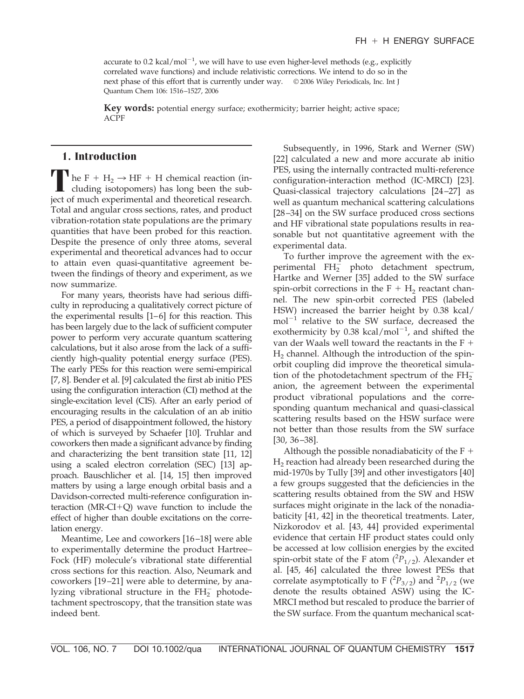accurate to  $0.2 \text{ kcal/mol}^{-1}$ , we will have to use even higher-level methods (e.g., explicitly correlated wave functions) and include relativistic corrections. We intend to do so in the next phase of this effort that is currently under way. © 2006 Wiley Periodicals, Inc. Int J Quantum Chem 106: 1516–1527, 2006

**Key words:** potential energy surface; exothermicity; barrier height; active space; ACPF

### **1. Introduction**

**T** he F +  $H_2 \rightarrow HF + H$  chemical reaction (including isotopomers) has long been the subject of much experimental and theoretical research. Total and angular cross sections, rates, and product vibration-rotation state populations are the primary quantities that have been probed for this reaction. Despite the presence of only three atoms, several experimental and theoretical advances had to occur to attain even quasi-quantitative agreement between the findings of theory and experiment, as we now summarize.

For many years, theorists have had serious difficulty in reproducing a qualitatively correct picture of the experimental results  $[1-6]$  for this reaction. This has been largely due to the lack of sufficient computer power to perform very accurate quantum scattering calculations, but it also arose from the lack of a sufficiently high-quality potential energy surface (PES). The early PESs for this reaction were semi-empirical [7, 8]. Bender et al. [9] calculated the first ab initio PES using the configuration interaction (CI) method at the single-excitation level (CIS). After an early period of encouraging results in the calculation of an ab initio PES, a period of disappointment followed, the history of which is surveyed by Schaefer [10]. Truhlar and coworkers then made a significant advance by finding and characterizing the bent transition state [11, 12] using a scaled electron correlation (SEC) [13] approach. Bauschlicher et al. [14, 15] then improved matters by using a large enough orbital basis and a Davidson-corrected multi-reference configuration interaction ( $MR-CI+Q$ ) wave function to include the effect of higher than double excitations on the correlation energy.

Meantime, Lee and coworkers [16 –18] were able to experimentally determine the product Hartree– Fock (HF) molecule's vibrational state differential cross sections for this reaction. Also, Neumark and coworkers [19 –21] were able to determine, by analyzing vibrational structure in the  $FH_{2}^{-}$  photodetachment spectroscopy, that the transition state was indeed bent.

Subsequently, in 1996, Stark and Werner (SW) [22] calculated a new and more accurate ab initio PES, using the internally contracted multi-reference configuration-interaction method (IC-MRCI) [23]. Quasi-classical trajectory calculations [24 –27] as well as quantum mechanical scattering calculations [28 –34] on the SW surface produced cross sections and HF vibrational state populations results in reasonable but not quantitative agreement with the experimental data.

To further improve the agreement with the experimental  $FH_{2}^{-}$  photo detachment spectrum, Hartke and Werner [35] added to the SW surface spin-orbit corrections in the  $F + H_2$  reactant channel. The new spin-orbit corrected PES (labeled HSW) increased the barrier height by 0.38 kcal/  $mol^{-1}$  relative to the SW surface, decreased the exothermicity by  $0.38 \text{ kcal/mol}^{-1}$ , and shifted the van der Waals well toward the reactants in the F  $H<sub>2</sub>$  channel. Although the introduction of the spinorbit coupling did improve the theoretical simulation of the photodetachment spectrum of the  $FH_{2}^{-}$ anion, the agreement between the experimental product vibrational populations and the corresponding quantum mechanical and quasi-classical scattering results based on the HSW surface were not better than those results from the SW surface [30, 36 –38].

Although the possible nonadiabaticity of the  $F +$  $H<sub>2</sub>$  reaction had already been researched during the mid-1970s by Tully [39] and other investigators [40] a few groups suggested that the deficiencies in the scattering results obtained from the SW and HSW surfaces might originate in the lack of the nonadiabaticity [41, 42] in the theoretical treatments. Later, Nizkorodov et al. [43, 44] provided experimental evidence that certain HF product states could only be accessed at low collision energies by the excited spin-orbit state of the F atom  $(^{2}P_{1/2})$ . Alexander et al. [45, 46] calculated the three lowest PESs that correlate asymptotically to F  $(^{2}P_{3/2})$  and  $^{2}P_{1/2}$  (we denote the results obtained ASW) using the IC-MRCI method but rescaled to produce the barrier of the SW surface. From the quantum mechanical scat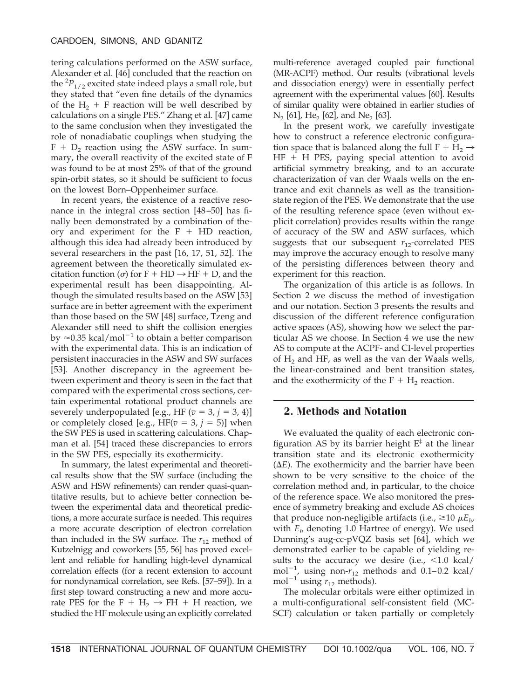tering calculations performed on the ASW surface, Alexander et al. [46] concluded that the reaction on the  ${}^{2}P_{1/2}$  excited state indeed plays a small role, but they stated that "even fine details of the dynamics of the  $H_2$  + F reaction will be well described by calculations on a single PES." Zhang et al. [47] came to the same conclusion when they investigated the role of nonadiabatic couplings when studying the  $F + D<sub>2</sub>$  reaction using the ASW surface. In summary, the overall reactivity of the excited state of F was found to be at most 25% of that of the ground spin-orbit states, so it should be sufficient to focus on the lowest Born–Oppenheimer surface.

In recent years, the existence of a reactive resonance in the integral cross section [48 –50] has finally been demonstrated by a combination of theory and experiment for the  $F + HD$  reaction, although this idea had already been introduced by several researchers in the past [16, 17, 51, 52]. The agreement between the theoretically simulated excitation function ( $\sigma$ ) for F + HD  $\rightarrow$  HF + D, and the experimental result has been disappointing. Although the simulated results based on the ASW [53] surface are in better agreement with the experiment than those based on the SW [48] surface, Tzeng and Alexander still need to shift the collision energies by  $\approx$  0.35 kcal/mol<sup>-1</sup> to obtain a better comparison with the experimental data. This is an indication of persistent inaccuracies in the ASW and SW surfaces [53]. Another discrepancy in the agreement between experiment and theory is seen in the fact that compared with the experimental cross sections, certain experimental rotational product channels are severely underpopulated [e.g., HF ( $v = 3$ ,  $j = 3$ , 4)] or completely closed [e.g.,  $HF(v = 3, j = 5)$ ] when the SW PES is used in scattering calculations. Chapman et al. [54] traced these discrepancies to errors in the SW PES, especially its exothermicity.

In summary, the latest experimental and theoretical results show that the SW surface (including the ASW and HSW refinements) can render quasi-quantitative results, but to achieve better connection between the experimental data and theoretical predictions, a more accurate surface is needed. This requires a more accurate description of electron correlation than included in the SW surface. The  $r_{12}$  method of Kutzelnigg and coworkers [55, 56] has proved excellent and reliable for handling high-level dynamical correlation effects (for a recent extension to account for nondynamical correlation, see Refs. [57–59]). In a first step toward constructing a new and more accurate PES for the F + H<sub>2</sub>  $\rightarrow$  FH + H reaction, we studied the HF molecule using an explicitly correlated

multi-reference averaged coupled pair functional (MR-ACPF) method. Our results (vibrational levels and dissociation energy) were in essentially perfect agreement with the experimental values [60]. Results of similar quality were obtained in earlier studies of  $N_2$  [61], He<sub>2</sub> [62], and Ne<sub>2</sub> [63].

In the present work, we carefully investigate how to construct a reference electronic configuration space that is balanced along the full  $F + H_2 \rightarrow$  $HF + H$  PES, paying special attention to avoid artificial symmetry breaking, and to an accurate characterization of van der Waals wells on the entrance and exit channels as well as the transitionstate region of the PES. We demonstrate that the use of the resulting reference space (even without explicit correlation) provides results within the range of accuracy of the SW and ASW surfaces, which suggests that our subsequent  $r_{12}$ -correlated PES may improve the accuracy enough to resolve many of the persisting differences between theory and experiment for this reaction.

The organization of this article is as follows. In Section 2 we discuss the method of investigation and our notation. Section 3 presents the results and discussion of the different reference configuration active spaces (AS), showing how we select the particular AS we choose. In Section 4 we use the new AS to compute at the ACPF- and CI-level properties of  $H<sub>2</sub>$  and HF, as well as the van der Waals wells, the linear-constrained and bent transition states, and the exothermicity of the  $F + H_2$  reaction.

#### **2. Methods and Notation**

We evaluated the quality of each electronic configuration AS by its barrier height  $E^{\ddagger}$  at the linear transition state and its electronic exothermicity  $(\Delta E)$ . The exothermicity and the barrier have been shown to be very sensitive to the choice of the correlation method and, in particular, to the choice of the reference space. We also monitored the presence of symmetry breaking and exclude AS choices that produce non-negligible artifacts (i.e.,  $\geq 10 \mu E_{h}$ , with  $E_h$  denoting 1.0 Hartree of energy). We used Dunning's aug-cc-pVQZ basis set [64], which we demonstrated earlier to be capable of yielding results to the accuracy we desire (i.e.,  $\langle 1.0 \text{ kcal}/$ mol<sup>-1</sup>, using non- $r_{12}$  methods and 0.1-0.2 kcal/ mol<sup>-1</sup> using  $r_{12}$  methods).

The molecular orbitals were either optimized in a multi-configurational self-consistent field (MC-SCF) calculation or taken partially or completely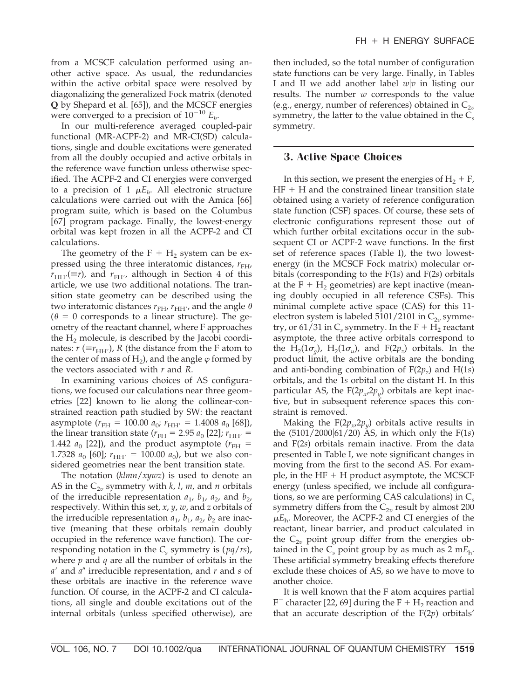from a MCSCF calculation performed using another active space. As usual, the redundancies within the active orbital space were resolved by diagonalizing the generalized Fock matrix (denoted **Q** by Shepard et al. [65]), and the MCSCF energies were converged to a precision of  $10^{-10}$   $E_h$ .

In our multi-reference averaged coupled-pair functional (MR-ACPF-2) and MR-CI(SD) calculations, single and double excitations were generated from all the doubly occupied and active orbitals in the reference wave function unless otherwise specified. The ACPF-2 and CI energies were converged to a precision of 1  $\mu E_h$ . All electronic structure calculations were carried out with the Amica [66] program suite, which is based on the Columbus [67] program package. Finally, the lowest-energy orbital was kept frozen in all the ACPF-2 and CI calculations.

The geometry of the  $F + H_2$  system can be expressed using the three interatomic distances,  $r_{FH}$ ,  $r_{\text{HH'}}(\equiv r)$ , and  $r_{\text{FH'}}$ , although in Section 4 of this article, we use two additional notations. The transition state geometry can be described using the two interatomic distances  $r_{\text{FH}}$ ,  $r_{\text{HH'}}$ , and the angle  $\theta$  $(\theta = 0$  corresponds to a linear structure). The geometry of the reactant channel, where F approaches the  $H_2$  molecule, is described by the Jacobi coordinates:  $r \, (\equiv r_{\rm HH'})$ , R (the distance from the F atom to the center of mass of  $H_2$ ), and the angle  $\varphi$  formed by the vectors associated with *r* and *R*.

In examining various choices of AS configurations, we focused our calculations near three geometries [22] known to lie along the collinear-constrained reaction path studied by SW: the reactant asymptote ( $r_{\text{FH}} = 100.00 a_{0}$ ;  $r_{\text{HH'}} = 1.4008 a_{0}$  [68]), the linear transition state ( $r_{\text{FH}} = 2.95 a_0$  [22];  $r_{\text{HH'}} =$ 1.442  $a_0$  [22]), and the product asymptote ( $r_{\text{FH}} =$ 1.7328  $a_0$  [60];  $r_{HH'} = 100.00 a_0$ ), but we also considered geometries near the bent transition state.

The notation (*klmn*/*xywz*) is used to denote an AS in the  $C_{2v}$  symmetry with *k*, *l*, *m*, and *n* orbitals of the irreducible representation  $a_1$ ,  $b_1$ ,  $a_2$ , and  $b_2$ , respectively. Within this set, *x*, *y*, *w*, and *z* orbitals of the irreducible representation  $a_1$ ,  $b_1$ ,  $a_2$ ,  $b_2$  are inactive (meaning that these orbitals remain doubly occupied in the reference wave function). The corresponding notation in the  $C_s$  symmetry is ( $pq/rs$ ), where *p* and *q* are all the number of orbitals in the *a'* and *a*" irreducible representation, and *r* and *s* of these orbitals are inactive in the reference wave function. Of course, in the ACPF-2 and CI calculations, all single and double excitations out of the internal orbitals (unless specified otherwise), are then included, so the total number of configuration state functions can be very large. Finally, in Tables I and II we add another label  $w|v$  in listing our results. The number *w* corresponds to the value (e.g., energy, number of references) obtained in  $C_{2v}$ symmetry, the latter to the value obtained in the C*<sup>s</sup>* symmetry.

#### **3. Active Space Choices**

In this section, we present the energies of  $H_2 + F$ ,  $HF + H$  and the constrained linear transition state obtained using a variety of reference configuration state function (CSF) spaces. Of course, these sets of electronic configurations represent those out of which further orbital excitations occur in the subsequent CI or ACPF-2 wave functions. In the first set of reference spaces (Table I), the two lowestenergy (in the MCSCF Fock matrix) molecular orbitals (corresponding to the F(1*s*) and F(2*s*) orbitals at the  $F + H_2$  geometries) are kept inactive (meaning doubly occupied in all reference CSFs). This minimal complete active space (CAS) for this 11 electron system is labeled  $5101/2101$  in  $C_{2v}$  symmetry, or  $61/31$  in C<sub>s</sub> symmetry. In the F + H<sub>2</sub> reactant asymptote, the three active orbitals correspond to the H<sub>2</sub>(1 $\sigma$ <sub>*g</sub>*), H<sub>2</sub>(1 $\sigma$ <sub>*u*</sub>), and F(2 $p$ <sub>*z*</sub>) orbitals. In the</sub> product limit, the active orbitals are the bonding and anti-bonding combination of  $F(2p<sub>z</sub>)$  and  $H(1s)$ orbitals, and the 1*s* orbital on the distant H. In this particular AS, the  $F(2p_x, 2p_y)$  orbitals are kept inactive, but in subsequent reference spaces this constraint is removed.

Making the  $F(2p_y, 2p_y)$  orbitals active results in the (5101/2000|61/20) AS, in which only the F(1*s*) and F(2*s*) orbitals remain inactive. From the data presented in Table I, we note significant changes in moving from the first to the second AS. For example, in the  $HF + H$  product asymptote, the MCSCF energy (unless specified, we include all configurations, so we are performing CAS calculations) in C*<sup>s</sup>* symmetry differs from the  $C_{2v}$  result by almost 200  $\mu E_h$ . Moreover, the ACPF-2 and CI energies of the reactant, linear barrier, and product calculated in the  $C_{2v}$  point group differ from the energies obtained in the  $C_s$  point group by as much as 2 m $E_h$ . These artificial symmetry breaking effects therefore exclude these choices of AS, so we have to move to another choice.

It is well known that the F atom acquires partial  $F^-$  character [22, 69] during the  $F + H_2$  reaction and that an accurate description of the F(2*p*) orbitals'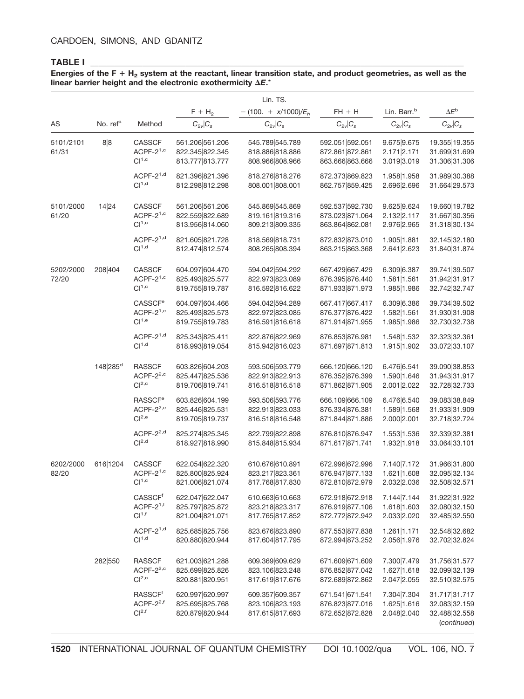#### **TABLE I \_\_\_\_\_\_\_\_\_\_\_\_\_\_\_\_\_\_\_\_\_\_\_\_\_\_\_\_\_\_\_\_\_\_\_\_\_\_\_\_\_\_\_\_\_\_\_\_\_\_\_\_\_\_\_\_\_\_\_\_\_\_\_\_\_\_\_\_\_\_\_\_\_\_\_\_\_\_\_\_\_\_\_\_\_\_\_\_\_\_\_\_\_\_**

#### Energies of the F + H<sub>2</sub> system at the reactant, linear transition state, and product geometries, as well as the linear barrier height and the electronic exothermicity  $\Delta E$ .\*

|                    |                      |                                                                   |                                                       | Lin. TS.                                              |                                                       |                                             |                                                                |
|--------------------|----------------------|-------------------------------------------------------------------|-------------------------------------------------------|-------------------------------------------------------|-------------------------------------------------------|---------------------------------------------|----------------------------------------------------------------|
|                    |                      |                                                                   | $F + H_2$                                             | $-(100. + x/1000)/E_h$                                | $FH + H$                                              | Lin. Barr. <sup>b</sup>                     | $\Delta E^{\rm b}$                                             |
| AS                 | No. ref <sup>a</sup> | Method                                                            | $C_{2v} C_s$                                          | $C_{2v} C_s$                                          | $C_{2v} C_s$                                          | $C_{2v}$ $C_s$                              | $C_{2v}$ $C_s$                                                 |
| 5101/2101<br>61/31 | 8 8                  | <b>CASSCF</b><br>ACPF- $2^{1,c}$<br>Cl <sup>1,c</sup>             | 561.206 561.206<br>822.345 822.345<br>813.777 813.777 | 545.789 545.789<br>818.886 818.886<br>808.966 808.966 | 592.051 592.051<br>872.861 872.861<br>863.666 863.666 | 9.675 9.675<br>2.171 2.171<br>3.019 3.019   | 19.355 19.355<br>31.699 31.699<br>31.306 31.306                |
|                    |                      | ACPF-2 <sup>1,d</sup><br>Cl <sup>1,d</sup>                        | 821.396 821.396<br>812.298 812.298                    | 818.276 818.276<br>808.001 808.001                    | 872.373 869.823<br>862.757 859.425                    | 1.958 1.958<br>2.696 2.696                  | 31.989 30.388<br>31.664 29.573                                 |
| 5101/2000<br>61/20 | 14 24                | <b>CASSCF</b><br>ACPF- $2^{1,c}$<br>Cl <sup>1,c</sup>             | 561.206 561.206<br>822.559 822.689<br>813.956 814.060 | 545.869 545.869<br>819.161 819.316<br>809.213 809.335 | 592.537 592.730<br>873.023 871.064<br>863.864 862.081 | 9.625 9.624<br>2.132 2.117<br>2.976 2.965   | 19.660 19.782<br>31.667 30.356<br>31.318 30.134                |
|                    |                      | ACPF-2 <sup>1,d</sup><br>Cl <sup>1,d</sup>                        | 821.605 821.728<br>812.474 812.574                    | 818.569818.731<br>808.265 808.394                     | 872.832 873.010<br>863.215 863.368                    | 1.905 1.881<br>2.641 2.623                  | 32.145 32.180<br>31.840 31.874                                 |
| 5202/2000<br>72/20 | 208 404              | <b>CASSCF</b><br>ACPF- $2^{1,c}$<br>Cl <sup>1,c</sup>             | 604.097 604.470<br>825.493 825.577<br>819.755 819.787 | 594.042 594.292<br>822.973 823.089<br>816.592 816.622 | 667.429 667.429<br>876.395 876.440<br>871.933 871.973 | 6.309 6.387<br>1.581   1.561<br>1.985 1.986 | 39.741 39.507<br>31.942 31.917<br>32.742 32.747                |
|                    |                      | CASSCF <sup>e</sup><br>ACPF- $2^{1,e}$<br>Cl <sup>1,e</sup>       | 604.097 604.466<br>825.493 825.573<br>819.755 819.783 | 594.042 594.289<br>822.972 823.085<br>816.591 816.618 | 667.417 667.417<br>876.377 876.422<br>871.914 871.955 | 6.309 6.386<br>1.582 1.561<br>1.985 1.986   | 39.734 39.502<br>31.930 31.908<br>32.730 32.738                |
|                    |                      | ACPF- $2^{1,d}$<br>Cl <sup>1,d</sup>                              | 825.343 825.411<br>818.993 819.054                    | 822.876 822.969<br>815.942 816.023                    | 876.853 876.981<br>871.697 871.813                    | 1.548 1.532<br>1.915 1.902                  | 32.323 32.361<br>33.072 33.107                                 |
|                    | 148 285 <sup>d</sup> | <b>RASSCF</b><br>ACPF-2 <sup>2,c</sup><br>Cl <sup>2,c</sup>       | 603.826 604.203<br>825.447 825.536<br>819.706 819.741 | 593.506 593.779<br>822.913 822.913<br>816.518 816.518 | 666.120 666.120<br>876.352 876.399<br>871.862 871.905 | 6.476 6.541<br>1.590 1.646<br>2.001 2.022   | 39.090 38.853<br>31.943 31.917<br>32.728 32.733                |
|                    |                      | <b>RASSCF<sup>e</sup></b><br>ACPF- $2^{2,e}$<br>Cl <sup>2,e</sup> | 603.826 604.199<br>825.446 825.531<br>819.705 819.737 | 593.506 593.776<br>822.913 823.033<br>816.518 816.548 | 666.109 666.109<br>876.334 876.381<br>871.844 871.886 | 6.476 6.540<br>1.589 1.568<br>2.000 2.001   | 39.083 38.849<br>31.933 31.909<br>32.718 32.724                |
|                    |                      | ACPF- $2^{2,d}$<br>Cl <sup>2,d</sup>                              | 825.274 825.345<br>818.927 818.990                    | 822.799 822.898<br>815.848 815.934                    | 876.810 876.947<br>871.617 871.741                    | 1.553 1.536<br>1.932 1.918                  | 32.339 32.381<br>33.064 33.101                                 |
| 6202/2000<br>82/20 | 616 1204             | CASSCF<br>$ACPF-21,c$<br>Cl <sup>1,c</sup>                        | 622.054 622.320<br>825.800 825.924<br>821.006 821.074 | 610.676 610.891<br>823.217 823.361<br>817.768 817.830 | 672.996 672.996<br>876.947 877.133<br>872.810 872.979 | 7.140 7.172<br>1.621   1.608<br>2.032 2.036 | 31.966 31.800<br>32.095 32.134<br>32.508 32.571                |
|                    |                      | <b>CASSCF<sup>f</sup></b><br>$ACPF-21,f$<br>Cl <sup>1,f</sup>     | 622.047 622.047<br>825.797 825.872<br>821.004 821.071 | 610.663 610.663<br>823.218 823.317<br>817.765 817.852 | 672.918 672.918<br>876.919 877.106<br>872.772 872.942 | 7.144 7.144<br>1.618 1.603<br>2.033 2.020   | 31.922 31.922<br>32.080 32.150<br>32.485 32.550                |
|                    |                      | ACPF- $2^{1,d}$<br>Cl <sup>1,d</sup>                              | 825.685 825.756<br>820.880 820.944                    | 823.676 823.890<br>817.604 817.795                    | 877.553 877.838<br>872.994 873.252                    | 1.261 1.171<br>2.056 1.976                  | 32.548 32.682<br>32.702 32.824                                 |
|                    | 282 550              | <b>RASSCF</b><br>ACPF- $2^{2,c}$<br>Cl <sup>2,c</sup>             | 621.003 621.288<br>825.699 825.826<br>820.881 820.951 | 609.369 609.629<br>823.106 823.248<br>817.619 817.676 | 671.609 671.609<br>876.852 877.042<br>872.689 872.862 | 7.300 7.479<br>1.627 1.618<br>2.047 2.055   | 31.756 31.577<br>32.099 32.139<br>32.510 32.575                |
|                    |                      | <b>RASSCFf</b><br>ACPF-2 <sup>2,f</sup><br>Cl <sup>2,f</sup>      | 620.997 620.997<br>825.695 825.768<br>820.879 820.944 | 609.357 609.357<br>823.106 823.193<br>817.615 817.693 | 671.541 671.541<br>876.823 877.016<br>872.652 872.828 | 7.304 7.304<br>1.625 1.616<br>2.048 2.040   | 31.717 31.717<br>32.083 32.159<br>32.488 32.558<br>(continued) |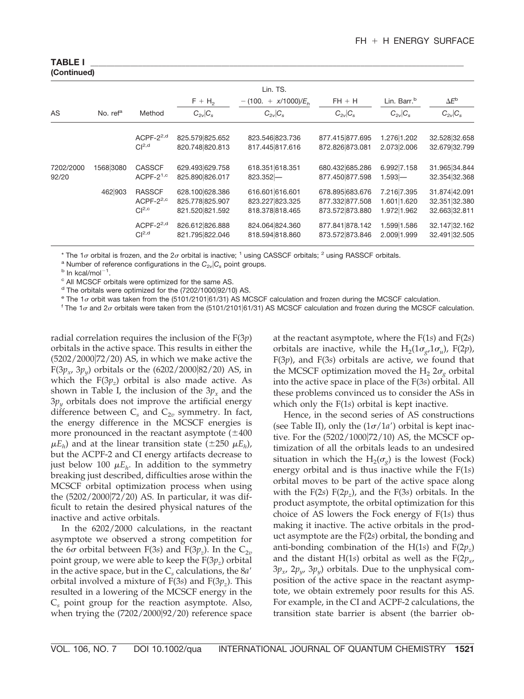## **(Continued)**

| Lin. TS.           |                      |                                                       |                                                       |                                                       |                                                       |                                           |                                                 |  |  |
|--------------------|----------------------|-------------------------------------------------------|-------------------------------------------------------|-------------------------------------------------------|-------------------------------------------------------|-------------------------------------------|-------------------------------------------------|--|--|
|                    |                      |                                                       | $F + H_2$                                             | $- (100. + x/1000)/E_h$                               | $FH + H$                                              | Lin. Barr. <sup>b</sup>                   | $\Delta E^{\rm b}$                              |  |  |
| <b>AS</b>          | No. ref <sup>a</sup> | Method                                                | $C_{2v}$ $C_s$                                        | $C_{2v}$ $C_s$                                        | $C_{2v}$ $C_s$                                        | $C_{2v}$ $C_s$                            | $C_{2v}$ $C_s$                                  |  |  |
|                    |                      | ACPF- $2^{2,d}$<br>Cl <sup>2,d</sup>                  | 825.579 825.652<br>820.748 820.813                    | 823.546 823.736<br>817.445 817.616                    | 877.415 877.695<br>872.826 873.081                    | 1.276 1.202<br>2.073 2.006                | 32.528 32.658<br>32.679 32.799                  |  |  |
| 7202/2000<br>92/20 | 1568 3080            | <b>CASSCF</b><br>ACPF- $2^{1,c}$                      | 629.493 629.758<br>825.890 826.017                    | 618.351 618.351<br>$823.352 -$                        | 680.432 685.286<br>877.450 877.598                    | 6.992 7.158<br>$1.593 -$                  | 31.965 34.844<br>32.354 32.368                  |  |  |
|                    | 462 903              | <b>RASSCF</b><br>ACPF- $2^{2,c}$<br>Cl <sup>2,c</sup> | 628.100 628.386<br>825.778 825.907<br>821.520 821.592 | 616.601 616.601<br>823.227 823.325<br>818.378 818.465 | 678.895 683.676<br>877.332 877.508<br>873.572 873.880 | 7.216 7.395<br>1.601 1.620<br>1.972 1.962 | 31.874 42.091<br>32.351 32.380<br>32.663 32.811 |  |  |
|                    |                      | ACPF- $2^{2,d}$<br>Cl <sup>2,d</sup>                  | 826.612 826.888<br>821.795 822.046                    | 824.064 824.360<br>818.594 818.860                    | 877.841 878.142<br>873.572 873.846                    | 1.599 1.586<br>2.009 1.999                | 32.147 32.162<br>32.491 32.505                  |  |  |

\* The 1 $\sigma$  orbital is frozen, and the 2 $\sigma$  orbital is inactive; <sup>1</sup> using CASSCF orbitals; <sup>2</sup> using RASSCF orbitals.

1 .

<sup>c</sup> All MCSCF orbitals were optimized for the same AS.

 $d$  The orbitals were optimized for the (7202/1000 $|92/10\rangle$  AS.

e The 1or orbit was taken from the (5101/2101|61/31) AS MCSCF calculation and frozen during the MCSCF calculation.

<sup>f</sup> The 1 $\sigma$  and 2 $\sigma$  orbitals were taken from the (5101/2101|61/31) AS MCSCF calculation and frozen during the MCSCF calculation.

radial correlation requires the inclusion of the F(3*p*) orbitals in the active space. This results in either the (5202/200072/20) AS, in which we make active the F(3*p<sub>x</sub>*, 3*p<sub>y</sub>*) orbitals or the (6202/2000|82/20) AS, in which the  $F(3p<sub>z</sub>)$  orbital is also made active. As shown in Table I, the inclusion of the  $3p<sub>x</sub>$  and the 3*py* orbitals does not improve the artificial energy difference between  $C_s$  and  $C_{2v}$  symmetry. In fact, the energy difference in the MCSCF energies is more pronounced in the reactant asymptote  $(\pm 400)$  $\mu E_h$ ) and at the linear transition state ( $\pm$ 250  $\mu E_h$ ), but the ACPF-2 and CI energy artifacts decrease to just below 100  $\mu E_h$ . In addition to the symmetry breaking just described, difficulties arose within the MCSCF orbital optimization process when using the  $(5202/2000|72/20)$  AS. In particular, it was difficult to retain the desired physical natures of the inactive and active orbitals.

In the 6202/2000 calculations, in the reactant asymptote we observed a strong competition for the 6 $\sigma$  orbital between F(3*s*) and F(3*p<sub>z</sub>*). In the C<sub>2*v*</sub> point group, we were able to keep the  $F(3p<sub>z</sub>)$  orbital in the active space, but in the  $C_s$  calculations, the  $8a'$ orbital involved a mixture of  $F(3s)$  and  $F(3p<sub>z</sub>)$ . This resulted in a lowering of the MCSCF energy in the C*<sup>s</sup>* point group for the reaction asymptote. Also, when trying the  $(7202/2000|92/20)$  reference space

at the reactant asymptote, where the F(1*s*) and F(2*s*) orbitals are inactive, while the  $H_2(1\sigma_g 1\sigma_u)$ , F(2*p*), F(3*p*), and F(3*s*) orbitals are active, we found that the MCSCF optimization moved the H<sub>2</sub>  $2\sigma$ <sub>o</sub> orbital into the active space in place of the F(3*s*) orbital. All these problems convinced us to consider the ASs in which only the F(1*s*) orbital is kept inactive.

Hence, in the second series of AS constructions (see Table II), only the  $(1\sigma/1a')$  orbital is kept inactive. For the  $(5202/1000|72/10)$  AS, the MCSCF optimization of all the orbitals leads to an undesired situation in which the  $H_2(\sigma_{\varrho})$  is the lowest (Fock) energy orbital and is thus inactive while the F(1*s*) orbital moves to be part of the active space along with the  $F(2s) F(2p<sub>z</sub>)$ , and the  $F(3s)$  orbitals. In the product asymptote, the orbital optimization for this choice of AS lowers the Fock energy of F(1*s*) thus making it inactive. The active orbitals in the product asymptote are the F(2*s*) orbital, the bonding and anti-bonding combination of the  $H(1s)$  and  $F(2p<sub>z</sub>)$ and the distant H(1*s*) orbital as well as the  $F(2p_{x}$ ,  $3p_x$ ,  $2p_y$ ,  $3p_y$ ) orbitals. Due to the unphysical composition of the active space in the reactant asymptote, we obtain extremely poor results for this AS. For example, in the CI and ACPF-2 calculations, the transition state barrier is absent (the barrier ob-

<sup>&</sup>lt;sup>a</sup> Number of reference configurations in the  $C_{2v}$  $C_s$  point groups.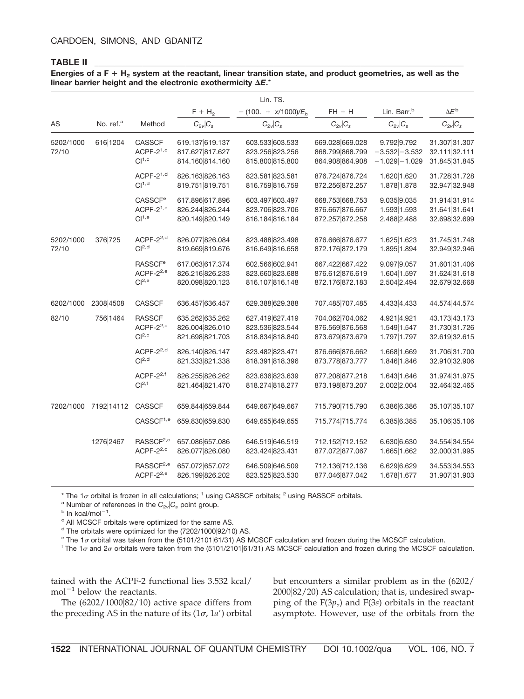#### **TABLE II \_\_\_\_\_\_\_\_\_\_\_\_\_\_\_\_\_\_\_\_\_\_\_\_\_\_\_\_\_\_\_\_\_\_\_\_\_\_\_\_\_\_\_\_\_\_\_\_\_\_\_\_\_\_\_\_\_\_\_\_\_\_\_\_\_\_\_\_\_\_\_\_\_\_\_\_\_\_\_\_\_\_\_\_\_\_\_\_\_\_\_\_\_**

#### **Energies of a F H2 system at the reactant, linear transition state, and product geometries, as well as the** linear barrier height and the electronic exothermicity  $\Delta E$ .\*

|                    |                       |                                                                   |                                                       | Lin. TS.                                              |                                                       |                                                      |                                                 |
|--------------------|-----------------------|-------------------------------------------------------------------|-------------------------------------------------------|-------------------------------------------------------|-------------------------------------------------------|------------------------------------------------------|-------------------------------------------------|
|                    |                       |                                                                   | $F + H_2$                                             | $-(100. + x/1000)/E_h$                                | $FH + H$                                              | Lin. Barr. <sup>b</sup>                              | $\Delta E^{\text{b}}$                           |
| AS                 | No. ref. <sup>a</sup> | Method                                                            | $C_{2v}$ $C_s$                                        | $C_{2v}$ $C_s$                                        | $C_{2v} C_s$                                          | $C_{2v}$ $C_s$                                       | $C_{2v}$ $C_s$                                  |
| 5202/1000<br>72/10 | 616 1204              | <b>CASSCF</b><br>ACPF- $2^{1,c}$<br>Cl <sup>1,c</sup>             | 619.137 619.137<br>817.627 817.627<br>814.160 814.160 | 603.533 603.533<br>823.256 823.256<br>815.800 815.800 | 669.028 669.028<br>868.799 868.799<br>864.908 864.908 | 9.792 9.792<br>$-3.532$ $-3.532$<br>$-1.029 - 1.029$ | 31.307 31.307<br>32.111 32.111<br>31.845 31.845 |
|                    |                       | $ACPF-21,d$<br>Cl <sup>1,d</sup>                                  | 826.163 826.163<br>819.751 819.751                    | 823.581 823.581<br>816.759 816.759                    | 876.724 876.724<br>872.256 872.257                    | 1.620 1.620<br>1.878 1.878                           | 31.728 31.728<br>32.947 32.948                  |
|                    |                       | <b>CASSCF<sup>e</sup></b><br>ACPF- $2^{1,e}$<br>Cl <sup>1,e</sup> | 617.896 617.896<br>826.244 826.244<br>820.149 820.149 | 603.497 603.497<br>823.706 823.706<br>816.184 816.184 | 668.753 668.753<br>876.667 876.667<br>872.257 872.258 | 9.035 9.035<br>1.593 1.593<br>2.488 2.488            | 31.914 31.914<br>31.641 31.641<br>32.698 32.699 |
| 5202/1000<br>72/10 | 376 725               | ACPF-2 <sup>2,d</sup><br>Cl <sup>2,d</sup>                        | 826.077 826.084<br>819.669 819.676                    | 823.488 823.498<br>816.649 816.658                    | 876.666 876.677<br>872.176 872.179                    | 1.625 1.623<br>1.895 1.894                           | 31.745 31.748<br>32.949 32.946                  |
|                    |                       | <b>RASSCF<sup>e</sup></b><br>ACPF- $2^{2,e}$<br>Cl <sup>2,e</sup> | 617.063 617.374<br>826.216 826.233<br>820.098 820.123 | 602.566 602.941<br>823.660 823.688<br>816.107 816.148 | 667.422 667.422<br>876.612 876.619<br>872.176 872.183 | 9.097 9.057<br>1.604 1.597<br>2.504 2.494            | 31.601 31.406<br>31.624 31.618<br>32.679 32.668 |
| 6202/1000          | 2308 4508             | <b>CASSCF</b>                                                     | 636.457 636.457                                       | 629.388 629.388                                       | 707.485 707.485                                       | 4.433 4.433                                          | 44.574 44.574                                   |
| 82/10              | 756 1464              | <b>RASSCF</b><br>ACPF- $2^{2,c}$<br>Cl <sup>2,c</sup>             | 635.262 635.262<br>826.004 826.010<br>821.698 821.703 | 627.419 627.419<br>823.536 823.544<br>818.834 818.840 | 704.062 704.062<br>876.569 876.568<br>873.679 873.679 | 4.921 4.921<br>1.549 1.547<br>1.797 1.797            | 43.173 43.173<br>31.730 31.726<br>32.619 32.615 |
|                    |                       | ACPF-2 <sup>2,d</sup><br>Cl <sup>2,d</sup>                        | 826.140 826.147<br>821.333 821.338                    | 823.482 823.471<br>818.391 818.396                    | 876.666 876.662<br>873.778 873.777                    | 1.668 1.669<br>1.846 1.846                           | 31.706 31.700<br>32.910 32.906                  |
|                    |                       | ACPF- $2^{2,f}$<br>Cl <sup>2,f</sup>                              | 826.255 826.262<br>821.464 821.470                    | 823.636 823.639<br>818.274 818.277                    | 877.208 877.218<br>873.198 873.207                    | 1.643 1.646<br>2.002 2.004                           | 31.974 31.975<br>32.464 32.465                  |
| 7202/1000          | 7192 14112            | <b>CASSCF</b>                                                     | 659.844 659.844                                       | 649.667 649.667                                       | 715.790 715.790                                       | 6.386 6.386                                          | 35.107 35.107                                   |
|                    |                       | CASSCF <sup>1,e</sup>                                             | 659.830 659.830                                       | 649.655 649.655                                       | 715.774 715.774                                       | 6.385 6.385                                          | 35.106 35.106                                   |
|                    | 1276 2467             | RASSCF <sup>2,c</sup><br>ACPF- $2^{2,c}$                          | 657.086 657.086<br>826.077 826.080                    | 646.519 646.519<br>823.424 823.431                    | 712.152 712.152<br>877.072 877.067                    | 6.630 6.630<br>1.665 1.662                           | 34.554 34.554<br>32.000 31.995                  |
|                    |                       | RASSCF <sup>2,e</sup><br>ACPF-2 <sup>2,e</sup>                    | 657.072 657.072<br>826.199826.202                     | 646.509 646.509<br>823.525 823.530                    | 712.136 712.136<br>877.046 877.042                    | 6.629 6.629<br>1.678 1.677                           | 34.553 34.553<br>31.907 31.903                  |

\* The 1 $\sigma$  orbital is frozen in all calculations; <sup>1</sup> using CASSCF orbitals; <sup>2</sup> using RASSCF orbitals.

<sup>a</sup> Number of references in the  $C_{2\nu}$  $C_s$  point group.

1 .

<sup>c</sup> All MCSCF orbitals were optimized for the same AS.

 $d$  The orbitals were optimized for the (7202/1000 $|92/10\rangle$  AS.

<sup>e</sup> The 1*o* orbital was taken from the (5101/2101|61/31) AS MCSCF calculation and frozen during the MCSCF calculation.

<sup>f</sup> The 1 $\sigma$  and 2 $\sigma$  orbitals were taken from the (5101/2101|61/31) AS MCSCF calculation and frozen during the MCSCF calculation.

tained with the ACPF-2 functional lies 3.532 kcal/  $mol^{-1}$  below the reactants.

The  $(6202/1000|82/10)$  active space differs from the preceding AS in the nature of its  $(1\sigma, 1a')$  orbital but encounters a similar problem as in the (6202/ 200082/20) AS calculation; that is, undesired swapping of the  $F(3p<sub>z</sub>)$  and  $F(3s)$  orbitals in the reactant asymptote. However, use of the orbitals from the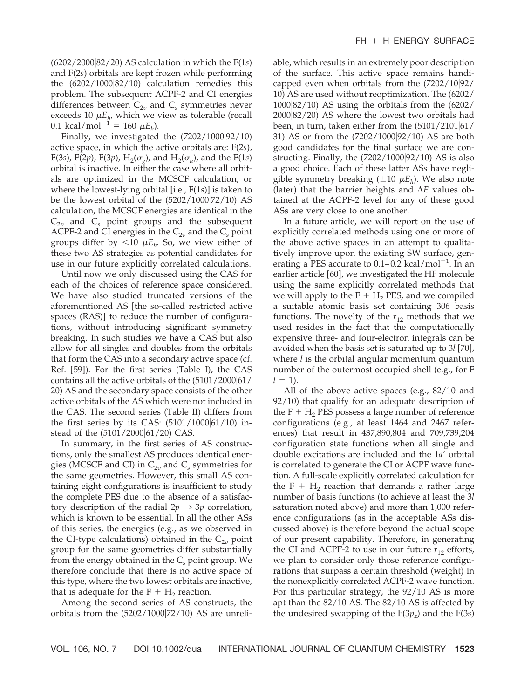(6202/200082/20) AS calculation in which the F(1*s*) and F(2*s*) orbitals are kept frozen while performing the  $(6202/1000|82/10)$  calculation remedies this problem. The subsequent ACPF-2 and CI energies differences between  $C_{2v}$  and  $C_s$  symmetries never exceeds 10  $\mu E_{h}$ , which we view as tolerable (recall  $0.1 \text{ kcal/mol}^{-1} = 160 \mu E_h$ ).

Finally, we investigated the  $(7202/1000|92/10)$ active space, in which the active orbitals are: F(2*s*), F(3*s*), F(2*p*), F(3*p*), H<sub>2</sub>( $\sigma$ <sub>*g*</sub>), and H<sub>2</sub>( $\sigma$ <sub>*u*</sub>), and the F(1*s*) orbital is inactive. In either the case where all orbitals are optimized in the MCSCF calculation, or where the lowest-lying orbital [i.e., F(1*s*)] is taken to be the lowest orbital of the  $(5202/1000|72/10)$  AS calculation, the MCSCF energies are identical in the  $C_{2v}$  and  $C_s$  point groups and the subsequent ACPF-2 and CI energies in the  $C_{2v}$  and the  $C_s$  point groups differ by  $\langle 10 \mu E_h$ . So, we view either of these two AS strategies as potential candidates for use in our future explicitly correlated calculations.

Until now we only discussed using the CAS for each of the choices of reference space considered. We have also studied truncated versions of the aforementioned AS [the so-called restricted active spaces (RAS)] to reduce the number of configurations, without introducing significant symmetry breaking. In such studies we have a CAS but also allow for all singles and doubles from the orbitals that form the CAS into a secondary active space (cf. Ref. [59]). For the first series (Table I), the CAS contains all the active orbitals of the  $(5101/2000|61/$ 20) AS and the secondary space consists of the other active orbitals of the AS which were not included in the CAS. The second series (Table II) differs from the first series by its CAS:  $(5101/1000|61/10)$  instead of the (5101/2000|61/20) CAS.

In summary, in the first series of AS constructions, only the smallest AS produces identical energies (MCSCF and CI) in  $C_{2v}$  and  $C_s$  symmetries for the same geometries. However, this small AS containing eight configurations is insufficient to study the complete PES due to the absence of a satisfactory description of the radial  $2p \rightarrow 3p$  correlation, which is known to be essential. In all the other ASs of this series, the energies (e.g., as we observed in the CI-type calculations) obtained in the  $C_{2v}$  point group for the same geometries differ substantially from the energy obtained in the C*<sup>s</sup>* point group. We therefore conclude that there is no active space of this type, where the two lowest orbitals are inactive, that is adequate for the  $F + H_2$  reaction.

Among the second series of AS constructs, the orbitals from the  $(5202/1000|72/10)$  AS are unreliable, which results in an extremely poor description of the surface. This active space remains handicapped even when orbitals from the  $(7202/10|92/$ 10) AS are used without reoptimization. The (6202/ 100082/10) AS using the orbitals from the (6202/ 200082/20) AS where the lowest two orbitals had been, in turn, taken either from the  $(5101/2101|61/$ 31) AS or from the (7202/100092/10) AS are both good candidates for the final surface we are constructing. Finally, the  $(7202/1000|92/10)$  AS is also a good choice. Each of these latter ASs have negligible symmetry breaking  $(\pm 10 \mu E_h)$ . We also note (later) that the barrier heights and  $\Delta E$  values obtained at the ACPF-2 level for any of these good ASs are very close to one another.

In a future article, we will report on the use of explicitly correlated methods using one or more of the above active spaces in an attempt to qualitatively improve upon the existing SW surface, generating a PES accurate to  $0.1-0.2$  kcal/mol<sup>-1</sup>. In an earlier article [60], we investigated the HF molecule using the same explicitly correlated methods that we will apply to the  $F + H_2$  PES, and we compiled a suitable atomic basis set containing 306 basis functions. The novelty of the  $r_{12}$  methods that we used resides in the fact that the computationally expensive three- and four-electron integrals can be avoided when the basis set is saturated up to 3*l* [70], where *l* is the orbital angular momentum quantum number of the outermost occupied shell (e.g., for F  $l = 1$ ).

All of the above active spaces (e.g., 82/10 and 92/10) that qualify for an adequate description of the  $F + H_2$  PES possess a large number of reference configurations (e.g., at least 1464 and 2467 references) that result in 437,890,804 and 709,739,204 configuration state functions when all single and double excitations are included and the 1*a'* orbital is correlated to generate the CI or ACPF wave function. A full-scale explicitly correlated calculation for the  $F + H<sub>2</sub>$  reaction that demands a rather large number of basis functions (to achieve at least the 3*l* saturation noted above) and more than 1,000 reference configurations (as in the acceptable ASs discussed above) is therefore beyond the actual scope of our present capability. Therefore, in generating the CI and ACPF-2 to use in our future  $r_{12}$  efforts, we plan to consider only those reference configurations that surpass a certain threshold (weight) in the nonexplicitly correlated ACPF-2 wave function. For this particular strategy, the 92/10 AS is more apt than the 82/10 AS. The 82/10 AS is affected by the undesired swapping of the  $F(3p<sub>z</sub>)$  and the  $F(3s)$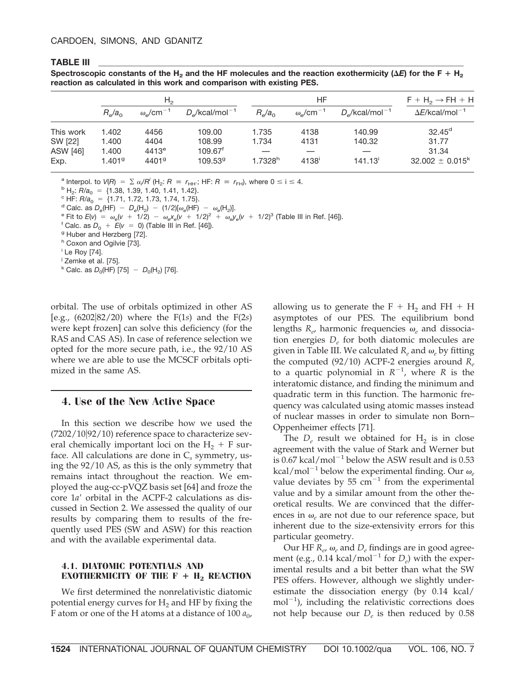#### **TABLE III \_\_\_\_\_\_\_\_\_\_\_\_\_\_\_\_\_\_\_\_\_\_\_\_\_\_\_\_\_\_\_\_\_\_\_\_\_\_\_\_\_\_\_\_\_\_\_\_\_\_\_\_\_\_\_\_\_\_\_\_\_\_\_\_\_\_\_\_\_\_\_\_\_\_\_\_\_\_\_\_\_\_\_\_\_\_\_\_\_\_\_\_**

Spectroscopic constants of the H<sub>2</sub> and the HF molecules and the reaction exothermicity (Δ*E*) for the F + H<sub>2</sub> **reaction as calculated in this work and comparison with existing PES.**

|                             | H <sub>2</sub>                         |                                        |                                            |                              | HF                                 | $F + H_2 \rightarrow FH + H$ |                               |
|-----------------------------|----------------------------------------|----------------------------------------|--------------------------------------------|------------------------------|------------------------------------|------------------------------|-------------------------------|
|                             | $R_{\rm e}/a_{\rm o}$                  | $\omega$ /cm <sup>-1</sup>             | $D_{\alpha}/kcal/mol^{-1}$                 | $R_e/a_0$                    | $\omega_{\rm o}$ /cm <sup>-1</sup> | $D_e$ /kcal/mol $^{-1}$      | $\Delta E$ /kcal/mol $^{-1}$  |
| This work                   | 1.402                                  | 4456<br>4404                           | 109.00<br>108.99                           | 1.735                        | 4138<br>4131                       | 140.99<br>140.32             | $32.45^d$<br>31.77            |
| SW [22]<br>ASW [46]<br>Exp. | 1.400<br>1.400<br>$1.401$ <sup>g</sup> | 4413 <sup>e</sup><br>4401 <sup>9</sup> | 109.67 <sup>f</sup><br>109.53 <sup>9</sup> | 1.734<br>1.7328 <sup>h</sup> | $4138^{\circ}$                     | $141.13$ <sup>i</sup>        | 31.34<br>$32.002 \pm 0.015^k$ |

<sup>a</sup> Interpol. to  $V(R) = \sum \alpha_i/R^i$  (H<sub>2</sub>:  $R = r_{HH}$ ; HF:  $R =$ 

<sup>b</sup> H<sub>2</sub>:  $R/a_0$  = {1.38, 1.39, 1.40, 1.41, 1.42}.<br>
<sup>c</sup> HF:  $R/a_0$  = {1.71, 1.72, 1.73, 1.74, 1.75}.<br>
<sup>d</sup> Calc. as  $D_e(HF) - D_e(H_2) - (1/2)[\omega_e(HF) - \omega_e(H_2)]$ .<br>
<sup>e</sup> Fit to  $E(v) = \omega_e(v + 1/2) - \omega_e x_e(v + 1/2)^2 + \omega_e y_e(v + 1/2)^3$  (Table III in

h Coxon and Ogilvie [73].

<sup>i</sup> Le Roy [74].

<sup>j</sup> Zemke et al. [75].

<sup>k</sup> Calc. as  $D_0(HF)$  [75]  $-D_0(H_2)$  [76].

orbital. The use of orbitals optimized in other AS [e.g.,  $(6202|82/20)$  where the F(1*s*) and the F(2*s*) were kept frozen] can solve this deficiency (for the RAS and CAS AS). In case of reference selection we opted for the more secure path, i.e., the 92/10 AS where we are able to use the MCSCF orbitals optimized in the same AS.

#### **4. Use of the New Active Space**

In this section we describe how we used the  $(7202/10|92/10)$  reference space to characterize several chemically important loci on the  $H_2$  + F surface. All calculations are done in C*<sup>s</sup>* symmetry, using the 92/10 AS, as this is the only symmetry that remains intact throughout the reaction. We employed the aug-cc-pVQZ basis set [64] and froze the core 1*a'* orbital in the ACPF-2 calculations as discussed in Section 2. We assessed the quality of our results by comparing them to results of the frequently used PES (SW and ASW) for this reaction and with the available experimental data.

#### **4.1. DIATOMIC POTENTIALS AND EXOTHERMICITY OF THE**  $F + H_2$  **REACTION**

We first determined the nonrelativistic diatomic potential energy curves for  $H<sub>2</sub>$  and HF by fixing the F atom or one of the H atoms at a distance of  $100 a_0$ , allowing us to generate the  $F + H_2$  and  $FH + H$ asymptotes of our PES. The equilibrium bond lengths  $R_e$ , harmonic frequencies  $\omega_e$  and dissociation energies *De* for both diatomic molecules are given in Table III. We calculated  $R_e$  and  $\omega_e$  by fitting the computed (92/10) ACPF-2 energies around *Re* to a quartic polynomial in  $R^{-1}$ , where *R* is the interatomic distance, and finding the minimum and quadratic term in this function. The harmonic frequency was calculated using atomic masses instead of nuclear masses in order to simulate non Born– Oppenheimer effects [71].

The  $D_e$  result we obtained for  $H_2$  is in close agreement with the value of Stark and Werner but is  $0.67$  kcal/mol<sup>-1</sup> below the ASW result and is  $0.53$ kcal/mol<sup>-1</sup> below the experimental finding. Our  $\omega_e$ value deviates by  $55 \text{ cm}^{-1}$  from the experimental value and by a similar amount from the other theoretical results. We are convinced that the differences in  $\omega_e$  are not due to our reference space, but inherent due to the size-extensivity errors for this particular geometry.

Our HF  $R_e$ ,  $\omega_e$  and  $D_e$  findings are in good agreement (e.g., 0.14 kcal/mol<sup>-1</sup> for  $D_e$ ) with the experimental results and a bit better than what the SW PES offers. However, although we slightly underestimate the dissociation energy (by 0.14 kcal/  $mol^{-1}$ ), including the relativistic corrections does not help because our  $D_e$  is then reduced by 0.58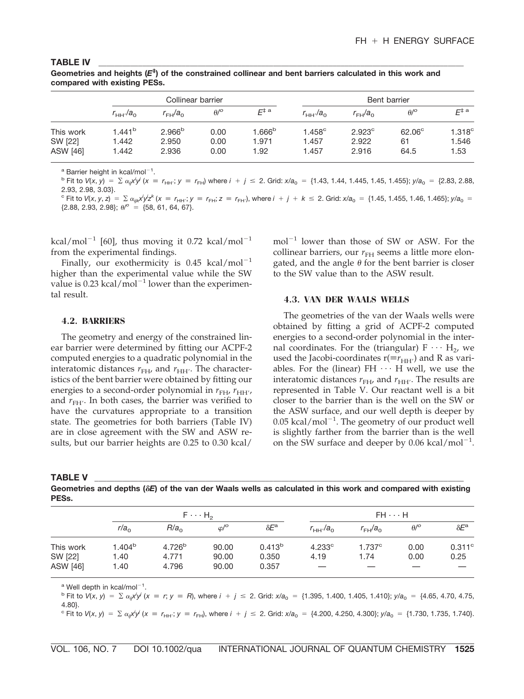| compared with existing PESs. |                    |                    |             |                    |                     |                  |                         |                    |  |  |  |
|------------------------------|--------------------|--------------------|-------------|--------------------|---------------------|------------------|-------------------------|--------------------|--|--|--|
|                              |                    | Collinear barrier  |             |                    |                     |                  | Bent barrier            |                    |  |  |  |
|                              | $r_{\rm HH'}/a_0$  | $r_{\rm FH}/a_0$   | $\theta$ /° | $E^{\ddagger}$ a   | $r_{\text{HH}}/a_0$ | $r_{\rm FH}/a_0$ | $\theta$ / <sup>o</sup> | $F^{\ddagger a}$   |  |  |  |
| This work                    | 1.441 <sup>b</sup> | 2.966 <sup>b</sup> | 0.00        | 1.666 <sup>b</sup> | $1.458^{\circ}$     | $2.923^{\circ}$  | $62.06^\circ$           | 1.318 <sup>c</sup> |  |  |  |
| SW [22]                      | 1.442              | 2.950              | 0.00        | 1.971              | 1.457               | 2.922            | 61                      | 1.546              |  |  |  |
| ASW [46]                     | 1.442              | 2.936              | 0.00        | 1.92               | 1.457               | 2.916            | 64.5                    | 1.53               |  |  |  |

**TABLE IV \_\_\_\_\_\_\_\_\_\_\_\_\_\_\_\_\_\_\_\_\_\_\_\_\_\_\_\_\_\_\_\_\_\_\_\_\_\_\_\_\_\_\_\_\_\_\_\_\_\_\_\_\_\_\_\_\_\_\_\_\_\_\_\_\_\_\_\_\_\_\_\_\_\_\_\_\_\_\_\_\_\_\_\_\_\_\_\_\_\_\_\_ Geometries and heights (***E***‡ ) of the constrained collinear and bent barriers calculated in this work and**

<sup>a</sup> Barrier height in kcal/mol<sup>-1</sup>.

<sup>b</sup> Fit to  $V(x, y) = \sum \alpha_{ij} x^i y^j$  ( $x = r_{HH'}$ ;  $y = r_{FH}$ ) where  $i + j \le 2$ . Grid:  $x/a_0 = \{1.43, 1.44, 1.445, 1.45, 1.455\}$ ;  $y/a_0 = \{2.83, 2.88, 1.45, 1.455\}$ 2.93, 2.98, 3.03}.

<sup>c</sup> Fit to  $V(x, y, z) = \sum \alpha_{ijk} x^i y^j z^k$  ( $x = r_{HH'}$ ;  $y = r_{FH}$ ;  $z = r_{FH'}$ ), where  $i + j + k \le 2$ . Grid:  $x/a_0 = \{1.45, 1.455, 1.46, 1.465\}$ ;  $y/a_0 =$ 

 $\{2.88, 2.93, 2.98\};$   $\theta$ <sup>o</sup> =  $\{58, 61, 64, 67\}.$ 

kcal/mol<sup>-1</sup> [60], thus moving it 0.72 kcal/mol<sup>-1</sup> from the experimental findings.

Finally, our exothermicity is  $0.45$  kcal/mol<sup>-1</sup> higher than the experimental value while the SW value is 0.23 kcal/ $mol^{-1}$  lower than the experimental result.

#### **4.2. BARRIERS**

The geometry and energy of the constrained linear barrier were determined by fitting our ACPF-2 computed energies to a quadratic polynomial in the interatomic distances  $r_{FH}$ , and  $r_{HH'}$ . The characteristics of the bent barrier were obtained by fitting our energies to a second-order polynomial in  $r_{\rm FH}$ ,  $r_{\rm HH'}$ , and  $r_{\text{FH'}}$ . In both cases, the barrier was verified to have the curvatures appropriate to a transition state. The geometries for both barriers (Table IV) are in close agreement with the SW and ASW results, but our barrier heights are 0.25 to 0.30 kcal/

mol-<sup>1</sup> lower than those of SW or ASW. For the collinear barriers, our  $r<sub>FH</sub>$  seems a little more elongated, and the angle  $\theta$  for the bent barrier is closer to the SW value than to the ASW result.

#### **4.3. VAN DER WAALS WELLS**

The geometries of the van der Waals wells were obtained by fitting a grid of ACPF-2 computed energies to a second-order polynomial in the internal coordinates. For the (triangular)  $F \cdots H_2$ , we used the Jacobi-coordinates  $r(\equiv r_{HH'})$  and R as variables. For the (linear) FH  $\cdots$  H well, we use the interatomic distances  $r_{\text{FH}}$ , and  $r_{\text{HH}}$ . The results are represented in Table V. Our reactant well is a bit closer to the barrier than is the well on the SW or the ASW surface, and our well depth is deeper by  $0.05$  kcal/mol<sup>-1</sup>. The geometry of our product well is slightly farther from the barrier than is the well on the SW surface and deeper by 0.06 kcal/mol<sup>-1</sup>.

**TABLE V \_\_\_\_\_\_\_\_\_\_\_\_\_\_\_\_\_\_\_\_\_\_\_\_\_\_\_\_\_\_\_\_\_\_\_\_\_\_\_\_\_\_\_\_\_\_\_\_\_\_\_\_\_\_\_\_\_\_\_\_\_\_\_\_\_\_\_\_\_\_\_\_\_\_\_\_\_\_\_\_\_\_\_\_\_\_\_\_\_\_\_\_\_**

**Geometries and depths (***E***) of the van der Waals wells as calculated in this work and compared with existing PESs.**

|           |                  | $F \cdots H_2$     |                        |                    | $FH \cdots H$        |                  |                         |                    |  |
|-----------|------------------|--------------------|------------------------|--------------------|----------------------|------------------|-------------------------|--------------------|--|
|           | r/a <sub>0</sub> | R/a <sub>0</sub>   | $\varphi$ / $^{\circ}$ | $\delta E^{\rm a}$ | $r_{\text{HH}}/a_0$  | $r_{\rm FH}/a_0$ | $\theta$ / <sup>o</sup> | $\delta E^{\rm a}$ |  |
| This work | $1.404^b$        | 4.726 <sup>b</sup> | 90.00                  | 0.413 <sup>b</sup> | $4.233$ <sup>c</sup> | 1.737c           | 0.00                    | $0.311^{\circ}$    |  |
| SW [22]   | 1.40             | 4.771              | 90.00                  | 0.350              | 4.19                 | 1.74             | 0.00                    | 0.25               |  |
| ASW [46]  | 1.40             | 4.796              | 90.00                  | 0.357              |                      |                  |                         |                    |  |

 $^{\text{a}}$  Well depth in kcal/mol<sup>-1</sup>.

<sup>b</sup> Fit to  $V(x, y) = \sum \alpha_{ij} x^i y^j$  ( $x = r$ ;  $y = R$ ), where  $i + j \le 2$ . Grid:  $x/a_0 = \{1.395, 1.400, 1.405, 1.410\}$ ;  $y/a_0 = \{4.65, 4.70, 4.75, 4.75, 4.75, 4.75, 4.75, 4.75, 4.75, 4.75, 4.75, 4.75, 4.75, 4.75, 4.75, 4.75, 4.75,$ 4.80}.

<sup>c</sup> Fit to  $V(x, y) = \sum \alpha_{ij} x^i y^j$  ( $x = r_{HH}$ ;  $y = r_{FH}$ ), where  $i + j \le 2$ . Grid:  $x/a_0 = \{4.200, 4.250, 4.300\}$ ;  $y/a_0 = \{1.730, 1.735, 1.740\}$ .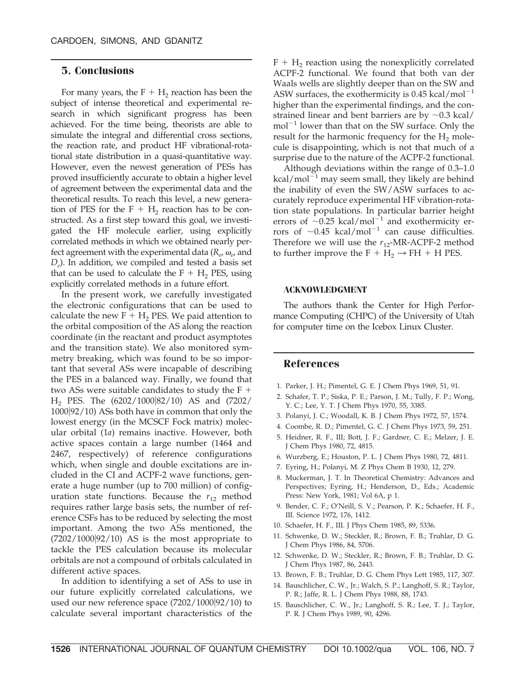#### **5. Conclusions**

For many years, the  $F + H<sub>2</sub>$  reaction has been the subject of intense theoretical and experimental research in which significant progress has been achieved. For the time being, theorists are able to simulate the integral and differential cross sections, the reaction rate, and product HF vibrational-rotational state distribution in a quasi-quantitative way. However, even the newest generation of PESs has proved insufficiently accurate to obtain a higher level of agreement between the experimental data and the theoretical results. To reach this level, a new generation of PES for the  $F + H_2$  reaction has to be constructed. As a first step toward this goal, we investigated the HF molecule earlier, using explicitly correlated methods in which we obtained nearly perfect agreement with the experimental data ( $R_e$ ,  $\omega_e$ , and *D<sub>e</sub>*). In addition, we compiled and tested a basis set that can be used to calculate the  $F + H_2$  PES, using explicitly correlated methods in a future effort.

In the present work, we carefully investigated the electronic configurations that can be used to calculate the new  $F + H_2$  PES. We paid attention to the orbital composition of the AS along the reaction coordinate (in the reactant and product asymptotes and the transition state). We also monitored symmetry breaking, which was found to be so important that several ASs were incapable of describing the PES in a balanced way. Finally, we found that two ASs were suitable candidates to study the  $F +$  $H_2$  PES. The  $(6202/1000|82/10)$  AS and  $(7202/1000|82/10)$ 100092/10) ASs both have in common that only the lowest energy (in the MCSCF Fock matrix) molecular orbital (1*a*) remains inactive. However, both active spaces contain a large number (1464 and 2467, respectively) of reference configurations which, when single and double excitations are included in the CI and ACPF-2 wave functions, generate a huge number (up to 700 million) of configuration state functions. Because the  $r_{12}$  method requires rather large basis sets, the number of reference CSFs has to be reduced by selecting the most important. Among the two ASs mentioned, the  $(7202/1000|92/10)$  AS is the most appropriate to tackle the PES calculation because its molecular orbitals are not a compound of orbitals calculated in different active spaces.

In addition to identifying a set of ASs to use in our future explicitly correlated calculations, we used our new reference space  $(7202/1000|92/10)$  to calculate several important characteristics of the  $F + H<sub>2</sub>$  reaction using the nonexplicitly correlated ACPF-2 functional. We found that both van der Waals wells are slightly deeper than on the SW and ASW surfaces, the exothermicity is  $0.45$  kcal/mol<sup>-1</sup> higher than the experimental findings, and the constrained linear and bent barriers are by  $\sim$ 0.3 kcal/  $mol^{-1}$  lower than that on the SW surface. Only the result for the harmonic frequency for the  $H<sub>2</sub>$  molecule is disappointing, which is not that much of a surprise due to the nature of the ACPF-2 functional.

Although deviations within the range of 0.3–1.0 kcal/mol $^{-1}$  may seem small, they likely are behind the inability of even the SW/ASW surfaces to accurately reproduce experimental HF vibration-rotation state populations. In particular barrier height errors of  $\sim$ 0.25 kcal/mol<sup>-1</sup> and exothermicity errors of  $\sim$ 0.45 kcal/mol<sup>-1</sup> can cause difficulties. Therefore we will use the  $r_{12}$ -MR-ACPF-2 method to further improve the  $F + H_2 \rightarrow FH + H$  PES.

#### **ACKNOWLEDGMENT**

The authors thank the Center for High Performance Computing (CHPC) of the University of Utah for computer time on the Icebox Linux Cluster.

#### **References**

- 1. Parker, J. H.; Pimentel, G. E. J Chem Phys 1969, 51, 91.
- 2. Schafer, T. P.; Siska, P. E.; Parson, J. M.; Tully, F. P.; Wong, Y. C.; Lee, Y. T. J Chem Phys 1970, 55, 3385.
- 3. Polanyi, J. C.; Woodall, K. B. J Chem Phys 1972, 57, 1574.
- 4. Coombe, R. D.; Pimentel, G. C. J Chem Phys 1973, 59, 251.
- 5. Heidner, R. F., III; Bott, J. F.; Gardner, C. E.; Melzer, J. E. J Chem Phys 1980, 72, 4815.
- 6. Wurzberg, E.; Houston, P. L. J Chem Phys 1980, 72, 4811.
- 7. Eyring, H.; Polanyi, M. Z Phys Chem B 1930, 12, 279.
- 8. Muckerman, J. T. In Theoretical Chemistry: Advances and Perspectives; Eyring, H.; Henderson, D., Eds.; Academic Press: New York, 1981; Vol 6A, p 1.
- 9. Bender, C. F.; O'Neill, S. V.; Pearson, P. K.; Schaefer, H. F., III. Science 1972, 176, 1412.
- 10. Schaefer, H. F., III. J Phys Chem 1985, 89, 5336.
- 11. Schwenke, D. W.; Steckler, R.; Brown, F. B.; Truhlar, D. G. J Chem Phys 1986, 84, 5706.
- 12. Schwenke, D. W.; Steckler, R.; Brown, F. B.; Truhlar, D. G. J Chem Phys 1987, 86, 2443.
- 13. Brown, F. B.; Truhlar, D. G. Chem Phys Lett 1985, 117, 307.
- 14. Bauschlicher, C. W., Jr.; Walch, S. P.; Langhoff, S. R.; Taylor, P. R.; Jaffe, R. L. J Chem Phys 1988, 88, 1743.
- 15. Bauschlicher, C. W., Jr.; Langhoff, S. R.; Lee, T. J.; Taylor, P. R. J Chem Phys 1989, 90, 4296.